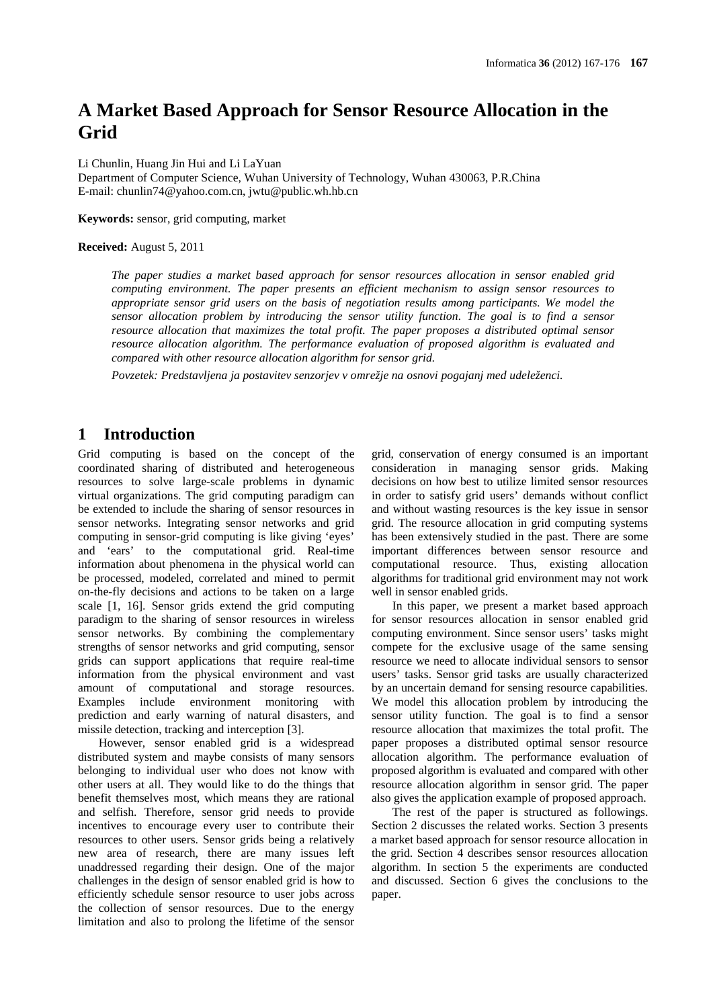# **A Market Based Approach for Sensor Resource Allocation in the Grid**

Li Chunlin, Huang Jin Hui and Li LaYuan

Department of Computer Science, Wuhan University of Technology, Wuhan 430063, P.R.China E-mail: chunlin74@yahoo.com.cn, jwtu@public.wh.hb.cn

**Keywords:** sensor, grid computing, market

#### **Received:** August 5, 2011

*The paper studies a market based approach for sensor resources allocation in sensor enabled grid computing environment. The paper presents an efficient mechanism to assign sensor resources to appropriate sensor grid users on the basis of negotiation results among participants. We model the sensor allocation problem by introducing the sensor utility function. The goal is to find a sensor resource allocation that maximizes the total profit. The paper proposes a distributed optimal sensor resource allocation algorithm. The performance evaluation of proposed algorithm is evaluated and compared with other resource allocation algorithm for sensor grid.*

*Povzetek: Predstavljena ja postavitev senzorjev v omrežje na osnovi pogajanj med udeleženci.*

## **1 Introduction**

Grid computing is based on the concept of the coordinated sharing of distributed and heterogeneous resources to solve large-scale problems in dynamic virtual organizations. The grid computing paradigm can be extended to include the sharing of sensor resources in sensor networks. Integrating sensor networks and grid computing in sensor-grid computing is like giving 'eyes' and 'ears' to the computational grid. Real-time information about phenomena in the physical world can be processed, modeled, correlated and mined to permit on-the-fly decisions and actions to be taken on a large scale [1, 16]. Sensor grids extend the grid computing paradigm to the sharing of sensor resources in wireless sensor networks. By combining the complementary strengths of sensor networks and grid computing, sensor grids can support applications that require real-time information from the physical environment and vast amount of computational and storage resources. Examples include environment monitoring with prediction and early warning of natural disasters, and missile detection, tracking and interception [3].

However, sensor enabled grid is a widespread distributed system and maybe consists of many sensors belonging to individual user who does not know with other users at all. They would like to do the things that benefit themselves most, which means they are rational and selfish. Therefore, sensor grid needs to provide incentives to encourage every user to contribute their resources to other users. Sensor grids being a relatively new area of research, there are many issues left unaddressed regarding their design. One of the major challenges in the design of sensor enabled grid is how to efficiently schedule sensor resource to user jobs across the collection of sensor resources. Due to the energy limitation and also to prolong the lifetime of the sensor

grid, conservation of energy consumed is an important consideration in managing sensor grids. Making decisions on how best to utilize limited sensor resources in order to satisfy grid users' demands without conflict and without wasting resources is the key issue in sensor grid. The resource allocation in grid computing systems has been extensively studied in the past. There are some important differences between sensor resource and computational resource. Thus, existing allocation algorithms for traditional grid environment may not work well in sensor enabled grids.

In this paper, we present a market based approach for sensor resources allocation in sensor enabled grid computing environment. Since sensor users' tasks might compete for the exclusive usage of the same sensing resource we need to allocate individual sensors to sensor users' tasks. Sensor grid tasks are usually characterized by an uncertain demand for sensing resource capabilities. We model this allocation problem by introducing the sensor utility function. The goal is to find a sensor resource allocation that maximizes the total profit. The paper proposes a distributed optimal sensor resource allocation algorithm. The performance evaluation of proposed algorithm is evaluated and compared with other resource allocation algorithm in sensor grid. The paper also gives the application example of proposed approach.

The rest of the paper is structured as followings. Section 2 discusses the related works. Section 3 presents a market based approach for sensor resource allocation in the grid. Section 4 describes sensor resources allocation algorithm. In section 5 the experiments are conducted and discussed. Section 6 gives the conclusions to the paper.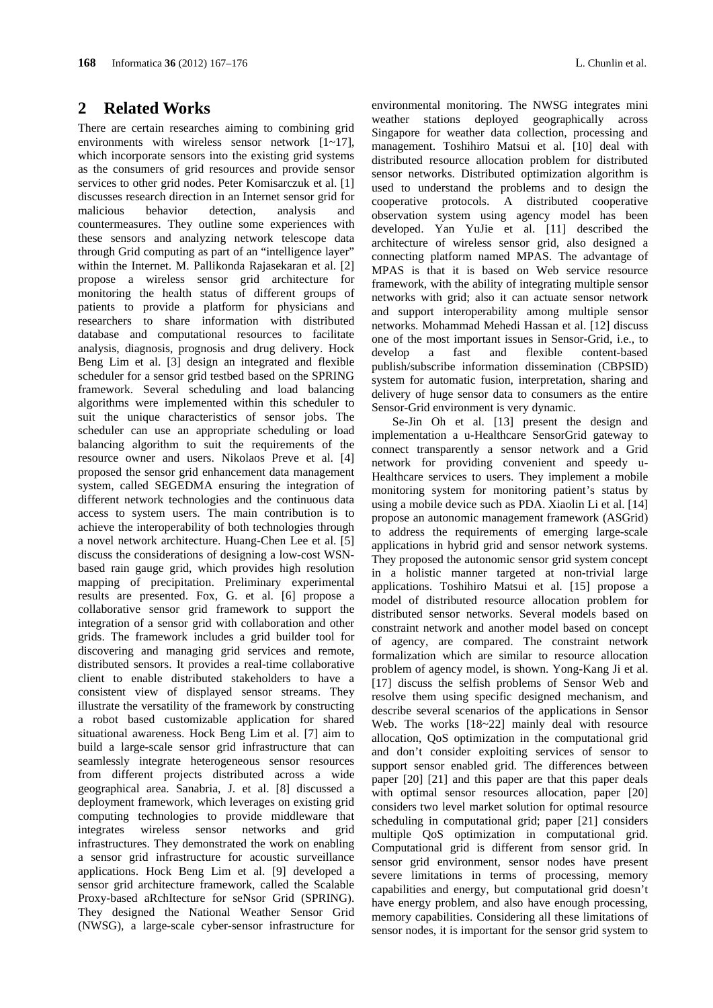# **2 Related Works**

There are certain researches aiming to combining grid environments with wireless sensor network  $[1-17]$ , which incorporate sensors into the existing grid systems as the consumers of grid resources and provide sensor services to other grid nodes. Peter Komisarczuk et al. [1] discusses research direction in an Internet sensor grid for malicious behavior detection, analysis and countermeasures. They outline some experiences with these sensors and analyzing network telescope data through Grid computing as part of an "intelligence layer" within the Internet. M. Pallikonda Rajasekaran et al. [2] propose a wireless sensor grid architecture for monitoring the health status of different groups of patients to provide a platform for physicians and researchers to share information with distributed database and computational resources to facilitate analysis, diagnosis, prognosis and drug delivery. Hock Beng Lim et al. [3] design an integrated and flexible scheduler for a sensor grid testbed based on the SPRING framework. Several scheduling and load balancing algorithms were implemented within this scheduler to suit the unique characteristics of sensor jobs. The scheduler can use an appropriate scheduling or load balancing algorithm to suit the requirements of the resource owner and users. Nikolaos Preve et al. [4] proposed the sensor grid enhancement data management system, called SEGEDMA ensuring the integration of different network technologies and the continuous data access to system users. The main contribution is to achieve the interoperability of both technologies through a novel network architecture. Huang-Chen Lee et al. [5] discuss the considerations of designing a low-cost WSNbased rain gauge grid, which provides high resolution mapping of precipitation. Preliminary experimental results are presented. Fox, G. et al. [6] propose a collaborative sensor grid framework to support the integration of a sensor grid with collaboration and other grids. The framework includes a grid builder tool for discovering and managing grid services and remote, distributed sensors. It provides a real-time collaborative client to enable distributed stakeholders to have a consistent view of displayed sensor streams. They illustrate the versatility of the framework by constructing a robot based customizable application for shared situational awareness. Hock Beng Lim et al. [7] aim to build a large-scale sensor grid infrastructure that can seamlessly integrate heterogeneous sensor resources from different projects distributed across a wide geographical area. Sanabria, J. et al. [8] discussed a deployment framework, which leverages on existing grid computing technologies to provide middleware that integrates wireless sensor networks and grid infrastructures. They demonstrated the work on enabling a sensor grid infrastructure for acoustic surveillance applications. Hock Beng Lim et al. [9] developed a sensor grid architecture framework, called the Scalable Proxy-based aRchItecture for seNsor Grid (SPRING). They designed the National Weather Sensor Grid (NWSG), a large-scale cyber-sensor infrastructure for

environmental monitoring. The NWSG integrates mini weather stations deployed geographically across Singapore for weather data collection, processing and management. Toshihiro Matsui et al. [10] deal with distributed resource allocation problem for distributed sensor networks. Distributed optimization algorithm is used to understand the problems and to design the cooperative protocols. A distributed cooperative observation system using agency model has been developed. Yan YuJie et al. [11] described the architecture of wireless sensor grid, also designed a connecting platform named MPAS. The advantage of MPAS is that it is based on Web service resource framework, with the ability of integrating multiple sensor networks with grid; also it can actuate sensor network and support interoperability among multiple sensor networks. Mohammad Mehedi Hassan et al. [12] discuss one of the most important issues in Sensor-Grid, i.e., to develop a fast and flexible content-based publish/subscribe information dissemination (CBPSID) system for automatic fusion, interpretation, sharing and delivery of huge sensor data to consumers as the entire Sensor-Grid environment is very dynamic.

Se-Jin Oh et al. [13] present the design and implementation a u-Healthcare SensorGrid gateway to connect transparently a sensor network and a Grid network for providing convenient and speedy u-Healthcare services to users. They implement a mobile monitoring system for monitoring patient's status by using a mobile device such as PDA. Xiaolin Li et al. [14] propose an autonomic management framework (ASGrid) to address the requirements of emerging large-scale applications in hybrid grid and sensor network systems. They proposed the autonomic sensor grid system concept in a holistic manner targeted at non-trivial large applications. Toshihiro Matsui et al. [15] propose a model of distributed resource allocation problem for distributed sensor networks. Several models based on constraint network and another model based on concept of agency, are compared. The constraint network formalization which are similar to resource allocation problem of agency model, is shown. Yong-Kang Ji et al. [17] discuss the selfish problems of Sensor Web and resolve them using specific designed mechanism, and describe several scenarios of the applications in Sensor Web. The works [18~22] mainly deal with resource allocation, QoS optimization in the computational grid and don't consider exploiting services of sensor to support sensor enabled grid. The differences between paper [20] [21] and this paper are that this paper deals with optimal sensor resources allocation, paper [20] considers two level market solution for optimal resource scheduling in computational grid; paper [21] considers multiple QoS optimization in computational grid. Computational grid is different from sensor grid. In sensor grid environment, sensor nodes have present severe limitations in terms of processing, memory capabilities and energy, but computational grid doesn't have energy problem, and also have enough processing, memory capabilities. Considering all these limitations of sensor nodes, it is important for the sensor grid system to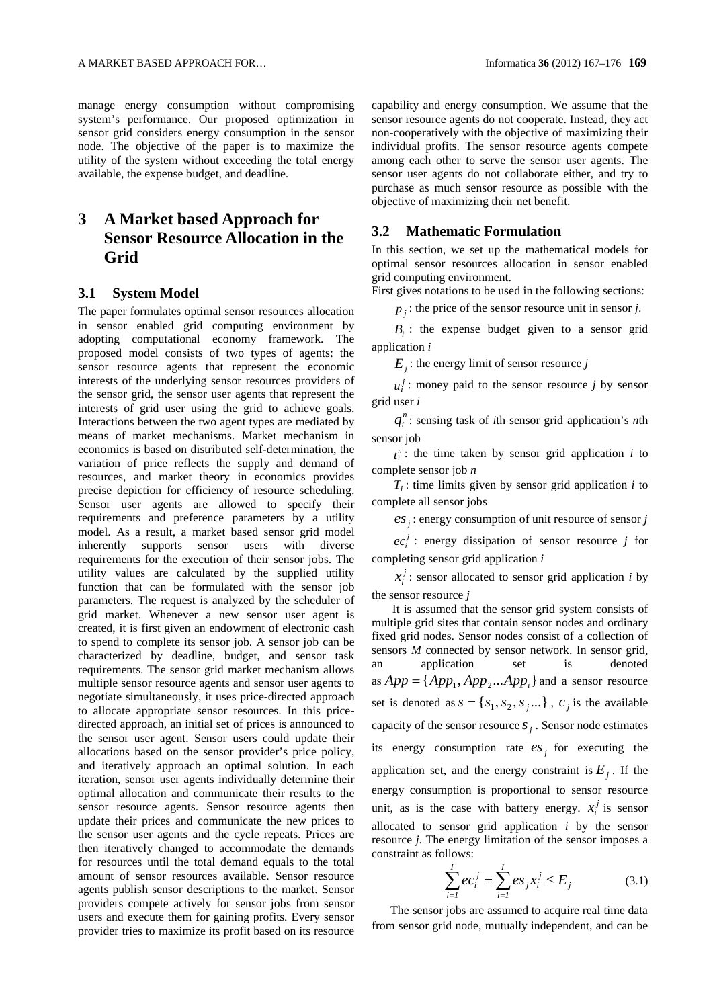manage energy consumption without compromising system's performance. Our proposed optimization in sensor grid considers energy consumption in the sensor node. The objective of the paper is to maximize the utility of the system without exceeding the total energy available, the expense budget, and deadline.

# **3 A Market based Approach for Sensor Resource Allocation in the Grid**

## **3.1 System Model**

The paper formulates optimal sensor resources allocation in sensor enabled grid computing environment by adopting computational economy framework. The proposed model consists of two types of agents: the sensor resource agents that represent the economic interests of the underlying sensor resources providers of the sensor grid, the sensor user agents that represent the interests of grid user using the grid to achieve goals. Interactions between the two agent types are mediated by means of market mechanisms. Market mechanism in economics is based on distributed self-determination, the variation of price reflects the supply and demand of resources, and market theory in economics provides precise depiction for efficiency of resource scheduling. Sensor user agents are allowed to specify their requirements and preference parameters by a utility model. As a result, a market based sensor grid model inherently supports sensor users with diverse requirements for the execution of their sensor jobs. The utility values are calculated by the supplied utility function that can be formulated with the sensor job parameters. The request is analyzed by the scheduler of grid market. Whenever a new sensor user agent is created, it is first given an endowment of electronic cash to spend to complete its sensor job. A sensor job can be characterized by deadline, budget, and sensor task requirements. The sensor grid market mechanism allows multiple sensor resource agents and sensor user agents to negotiate simultaneously, it uses price-directed approach to allocate appropriate sensor resources. In this pricedirected approach, an initial set of prices is announced to the sensor user agent. Sensor users could update their allocations based on the sensor provider's price policy, and iteratively approach an optimal solution. In each iteration, sensor user agents individually determine their optimal allocation and communicate their results to the sensor resource agents. Sensor resource agents then update their prices and communicate the new prices to the sensor user agents and the cycle repeats. Prices are then iteratively changed to accommodate the demands for resources until the total demand equals to the total amount of sensor resources available. Sensor resource agents publish sensor descriptions to the market. Sensor providers compete actively for sensor jobs from sensor users and execute them for gaining profits. Every sensor provider tries to maximize its profit based on its resource

capability and energy consumption. We assume that the sensor resource agents do not cooperate. Instead, they act non-cooperatively with the objective of maximizing their individual profits. The sensor resource agents compete among each other to serve the sensor user agents. The sensor user agents do not collaborate either, and try to purchase as much sensor resource as possible with the objective of maximizing their net benefit.

#### **3.2 Mathematic Formulation**

In this section, we set up the mathematical models for optimal sensor resources allocation in sensor enabled grid computing environment.

First gives notations to be used in the following sections:

*p <sup>j</sup>* : the price of the sensor resource unit in sensor *j*.

 $B_i$ : the expense budget given to a sensor grid application *i*

 $E_i$ : the energy limit of sensor resource *j* 

 $u_i^j$  : money paid to the sensor resource *j* by sensor grid user *i*

 $q_i^n$ : sensing task of *i*th sensor grid application's *n*th sensor job

 $t_i^n$ : the time taken by sensor grid application *i* to complete sensor job *n*

 $T_i$ : time limits given by sensor grid application *i* to complete all sensor jobs

 $\mathscr{E} \mathscr{S}_i$  : energy consumption of unit resource of sensor *j* 

 $ec_i^j$  : energy dissipation of sensor resource *j* for completing sensor grid application *i*

 $x_i^j$ : sensor allocated to sensor grid application *i* by the sensor resource *j*

It is assumed that the sensor grid system consists of multiple grid sites that contain sensor nodes and ordinary fixed grid nodes. Sensor nodes consist of a collection of sensors *M* connected by sensor network. In sensor grid, application set is denoted as  $App = \{ App_1, App_2...App_i \}$  and a sensor resource set is denoted as  $S = \{S_1, S_2, S_j, \dots\}$ ,  $C_j$  is the available capacity of the sensor resource  $s_i$ . Sensor node estimates its energy consumption rate  $\mathscr{e} \mathscr{S}_i$  for executing the application set, and the energy constraint is  $E_i$ . If the energy consumption is proportional to sensor resource unit, as is the case with battery energy.  $x_i^j$  is sensor allocated to sensor grid application *i* by the sensor resource *j*. The energy limitation of the sensor imposes a constraint as follows:

$$
\sum_{i=1}^{I} e c_i^j = \sum_{i=1}^{I} e s_j x_i^j \le E_j
$$
 (3.1)

The sensor jobs are assumed to acquire real time data from sensor grid node, mutually independent, and can be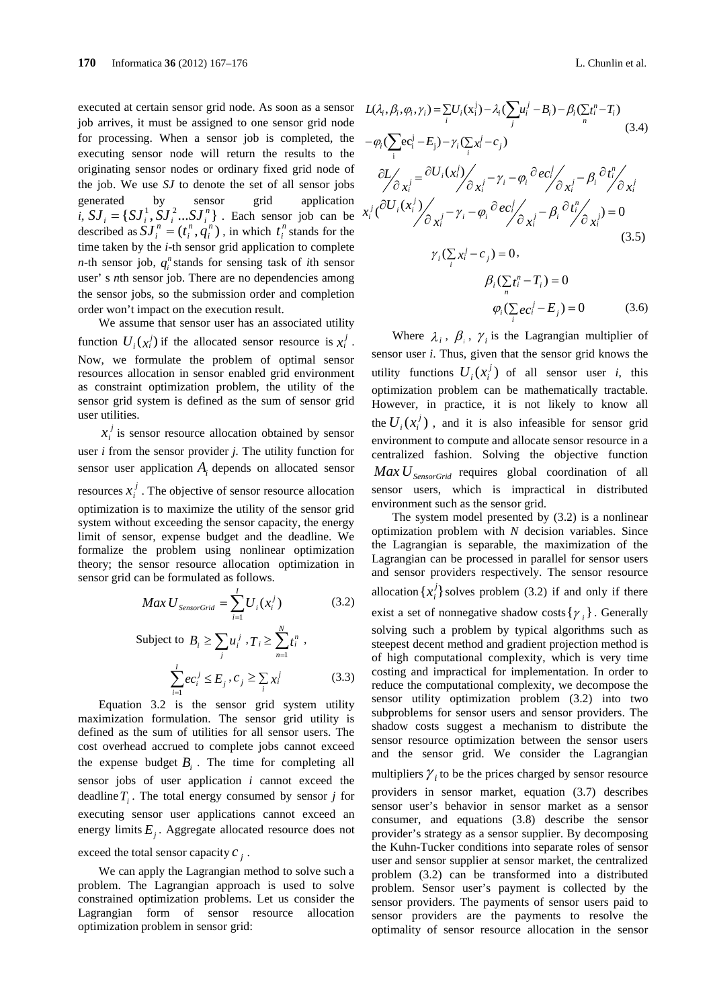executed at certain sensor grid node. As soon as a sensor job arrives, it must be assigned to one sensor grid node for processing. When a sensor job is completed, the executing sensor node will return the results to the originating sensor nodes or ordinary fixed grid node of the job. We use *SJ* to denote the set of all sensor jobs generated by sensor grid application  $i, SJ_i = \{SJ_i^1, SJ_i^2...SJ_i^n\}$ . Each sensor job can be described as  $\overline{S}J_i^n = (t_i^n, q_i^n)$ *i n i*  $\dot{S}J_i^n = (t_i^n, \dot{q}_i^n)$ , in which  $t_i^n$  stands for the time taken by the *i*-th sensor grid application to complete *n*-th sensor job,  $q_i^n$  stands for sensing task of *i*th sensor user' s *n*th sensor job. There are no dependencies among the sensor jobs, so the submission order and completion order won't impact on the execution result.

We assume that sensor user has an associated utility function  $U_i(x_i^j)$  if the allocated sensor resource is  $x_i^j$ . Now, we formulate the problem of optimal sensor resources allocation in sensor enabled grid environment as constraint optimization problem, the utility of the sensor grid system is defined as the sum of sensor grid user utilities.

 $x_i^j$  is sensor resource allocation obtained by sensor user *i* from the sensor provider *j.* The utility function for sensor user application *Ai* depends on allocated sensor resources  $x_i^j$ . The objective of sensor resource allocation optimization is to maximize the utility of the sensor grid system without exceeding the sensor capacity, the energy limit of sensor, expense budget and the deadline. We formalize the problem using nonlinear optimization theory; the sensor resource allocation optimization in sensor grid can be formulated as follows.

$$
Max U_{SensorGrid} = \sum_{i=1}^{I} U_i(x_i^j)
$$
 (3.2)

Subject to 
$$
B_i \ge \sum_j u_i^j
$$
,  $T_i \ge \sum_{n=1}^N t_i^n$ ,  

$$
\sum_{i=1}^I e c_i^j \le E_j, c_j \ge \sum_i x_i^j
$$
(3.3)

Equation 3.2 is the sensor grid system utility maximization formulation. The sensor grid utility is defined as the sum of utilities for all sensor users. The cost overhead accrued to complete jobs cannot exceed the expense budget  $B_i$ . The time for completing all sensor jobs of user application *i* cannot exceed the deadline  $T_i$ . The total energy consumed by sensor *j* for executing sensor user applications cannot exceed an energy limits  $E_i$ . Aggregate allocated resource does not

#### exceed the total sensor capacity  $c_i$ .

We can apply the Lagrangian method to solve such a problem. The Lagrangian approach is used to solve constrained optimization problems. Let us consider the Lagrangian form of sensor resource allocation optimization problem in sensor grid:

$$
L(\lambda_i, \beta_i, \varphi_i, \gamma_i) = \sum_{i} U_i(x_i^j) - \lambda_i (\sum_j u_i^j - B_i) - \beta_i (\sum_n t_i^n - T_i)
$$
  
\n
$$
- \varphi_i (\sum_i \mathbf{e} \mathbf{e}_i^j - E_j) - \gamma_i (\sum_i x_i^j - c_j)
$$
  
\n
$$
\frac{\partial L}{\partial x_i^j} = \frac{\partial U_i(x_i^j)}{\partial x_i^j} - \gamma_i - \varphi_i \frac{\partial e c_i^j}{\partial x_i^j} - \beta_i \frac{\partial t_i^n}{\partial x_i^j}
$$
  
\n
$$
x_i^j (\frac{\partial U_i(x_i^j)}{\partial x_i^j} - \gamma_i - \varphi_i \frac{\partial e c_i^j}{\partial x_i^j} - \beta_i \frac{\partial t_i^n}{\partial x_i^j}) = 0
$$
  
\n
$$
\gamma_i (\sum_i x_i^j - c_j) = 0,
$$
  
\n
$$
\beta_i (\sum_i t_i^n - T_i) = 0
$$
  
\n
$$
\varphi_i (\sum_i e c_i^j - E_j) = 0
$$
 (3.6)

Where  $\lambda_i$ ,  $\beta_i$ ,  $\gamma_i$  is the Lagrangian multiplier of sensor user *i*. Thus, given that the sensor grid knows the utility functions  $U_i(x_i^j)$  of all sensor user *i*, this optimization problem can be mathematically tractable. However, in practice, it is not likely to know all the  $U_i(x_i^j)$ , and it is also infeasible for sensor grid environment to compute and allocate sensor resource in a centralized fashion. Solving the objective function  $Max U_{SensorGrid}$  requires global coordination of all sensor users, which is impractical in distributed environment such as the sensor grid.

The system model presented by (3.2) is a nonlinear optimization problem with *N* decision variables. Since the Lagrangian is separable, the maximization of the Lagrangian can be processed in parallel for sensor users and sensor providers respectively. The sensor resource allocation  $\{x_i^j\}$  solves problem (3.2) if and only if there exist a set of nonnegative shadow costs  $\{ \gamma_i \}$ . Generally solving such a problem by typical algorithms such as steepest decent method and gradient projection method is of high computational complexity, which is very time costing and impractical for implementation. In order to reduce the computational complexity, we decompose the sensor utility optimization problem (3.2) into two subproblems for sensor users and sensor providers. The shadow costs suggest a mechanism to distribute the sensor resource optimization between the sensor users and the sensor grid. We consider the Lagrangian

multipliers  $\gamma_i$  to be the prices charged by sensor resource providers in sensor market, equation (3.7) describes sensor user's behavior in sensor market as a sensor consumer, and equations (3.8) describe the sensor provider's strategy as a sensor supplier. By decomposing the Kuhn-Tucker conditions into separate roles of sensor user and sensor supplier at sensor market, the centralized problem (3.2) can be transformed into a distributed problem. Sensor user's payment is collected by the sensor providers. The payments of sensor users paid to sensor providers are the payments to resolve the optimality of sensor resource allocation in the sensor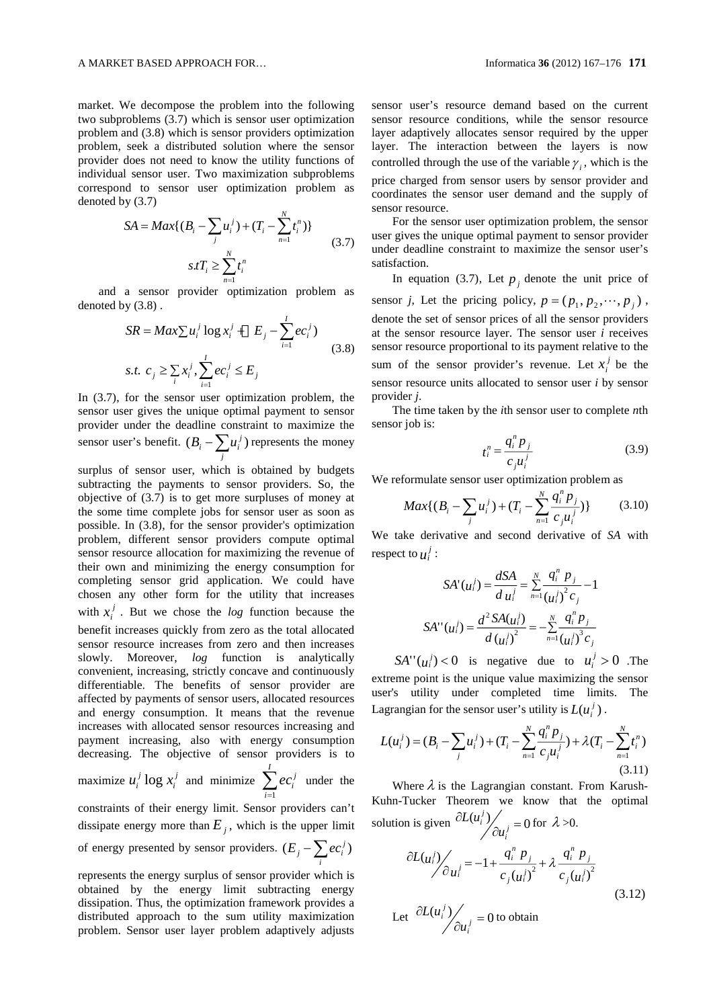market. We decompose the problem into the following two subproblems (3.7) which is sensor user optimization problem and (3.8) which is sensor providers optimization problem, seek a distributed solution where the sensor provider does not need to know the utility functions of individual sensor user. Two maximization subproblems correspond to sensor user optimization problem as denoted by (3.7)

$$
SA = Max\{ (B_i - \sum_{j} u_i^j) + (T_i - \sum_{n=1}^{N} t_i^n) \}
$$
  

$$
s.tT_i \ge \sum_{n=1}^{N} t_i^n
$$
 (3.7)

and a sensor provider optimization problem as denoted by (3.8) .

$$
SR = Max \sum u_i^j \log x_i^j + E_j - \sum_{i=1}^{I} e c_i^j)
$$
  
s.t.  $c_j \ge \sum_{i} x_i^j, \sum_{i=1}^{I} e c_i^j \le E_j$  (3.8)

In (3.7), for the sensor user optimization problem, the sensor user gives the unique optimal payment to sensor provider under the deadline constraint to maximize the sensor user's benefit.  $(B_i - \sum_j u_i^j)$  $B_i - \sum u_i^j$ ) represents the money

surplus of sensor user, which is obtained by budgets subtracting the payments to sensor providers. So, the objective of (3.7) is to get more surpluses of money at the some time complete jobs for sensor user as soon as possible. In (3.8), for the sensor provider's optimization problem, different sensor providers compute optimal sensor resource allocation for maximizing the revenue of their own and minimizing the energy consumption for completing sensor grid application. We could have chosen any other form for the utility that increases with  $x_i^j$ . But we chose the *log* function because the benefit increases quickly from zero as the total allocated sensor resource increases from zero and then increases slowly. Moreover, *log* function is analytically convenient, increasing, strictly concave and continuously differentiable. The benefits of sensor provider are affected by payments of sensor users, allocated resources and energy consumption. It means that the revenue increases with allocated sensor resources increasing and payment increasing, also with energy consumption decreasing. The objective of sensor providers is to

maximize  $u_i^j \log x_i^j$  and minimize 1 *I j i i ec*  $\sum_{i=1}$   $ec_i^j$  under the constraints of their energy limit. Sensor providers can't dissipate energy more than  $E_i$ , which is the upper limit *j*

of energy presented by sensor providers. 
$$
(E_j - \sum_i e c_i^j)
$$

represents the energy surplus of sensor provider which is obtained by the energy limit subtracting energy dissipation. Thus, the optimization framework provides a distributed approach to the sum utility maximization problem. Sensor user layer problem adaptively adjusts

sensor user's resource demand based on the current sensor resource conditions, while the sensor resource layer adaptively allocates sensor required by the upper layer. The interaction between the layers is now controlled through the use of the variable  $\gamma$ , which is the price charged from sensor users by sensor provider and coordinates the sensor user demand and the supply of sensor resource.

For the sensor user optimization problem, the sensor user gives the unique optimal payment to sensor provider under deadline constraint to maximize the sensor user's satisfaction.

In equation (3.7), Let  $p_i$  denote the unit price of sensor *j*, Let the pricing policy,  $p = (p_1, p_2, \dots, p_i)$ , denote the set of sensor prices of all the sensor providers at the sensor resource layer. The sensor user *i* receives sensor resource proportional to its payment relative to the sum of the sensor provider's revenue. Let  $x_i^j$  be the sensor resource units allocated to sensor user *i* by sensor provider *j*.

The time taken by the *i*th sensor user to complete *n*th sensor job is:

$$
t_i^n = \frac{q_i^n p_j}{c_j u_i^j}
$$
 (3.9)

We reformulate sensor user optimization problem as

$$
Max\{(B_i - \sum_j u_i^j) + (T_i - \sum_{n=1}^N \frac{q_i^n p_j}{c_j u_i^j})\}
$$
(3.10)

We take derivative and second derivative of *SA* with respect to  $u_i^j$  :

$$
SA'(u_i^j) = \frac{dSA}{d u_i^j} = \sum_{n=1}^N \frac{q_i^n p_j}{(u_i^j)^2 c_j} - 1
$$
  

$$
SA''(u_i^j) = \frac{d^2 SA(u_i^j)}{d(u_i^j)^2} = -\sum_{n=1}^N \frac{q_i^n p_j}{(u_i^j)^3 c_j}
$$

 $SA''(u_i^j) < 0$  is negative due to  $u_i^j > 0$  .The extreme point is the unique value maximizing the sensor user's utility under completed time limits. The Lagrangian for the sensor user's utility is  $L(u_i^j)$ .

$$
L(u_i^j) = (B_i - \sum_j u_i^j) + (T_i - \sum_{n=1}^N \frac{q_i^n p_j}{c_j u_i^j}) + \lambda (T_i - \sum_{n=1}^N t_i^n)
$$
\n(3.11)

Where  $\lambda$  is the Lagrangian constant. From Karush-Kuhn-Tucker Theorem we know that the optimal solution is given  $\frac{\partial L(u_i^j)}{\partial u_i^j} = 0$ *j i u*  $\left| \frac{L(u_i^j)}{\lambda} \right|_0^j = 0$  for  $\lambda > 0$ .

$$
\frac{\partial L(u_i^j)}{\partial u_i^j} = -1 + \frac{q_i^n p_j}{c_j(u_i^j)^2} + \lambda \frac{q_i^n p_j}{c_j(u_i^j)^2}
$$
\n
$$
\text{Let } \frac{\partial L(u_i^j)}{\partial u_i^j} = 0 \text{ to obtain}
$$
\n(3.12)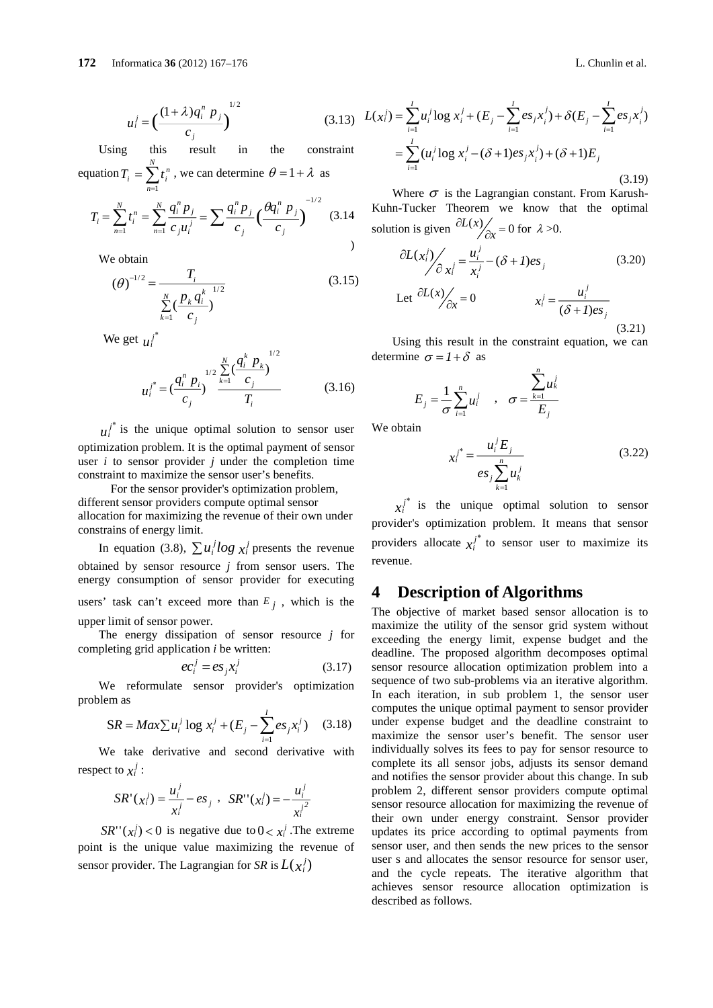$$
u_i^j = \left(\frac{(1+\lambda)q_i^n p_j}{c_j}\right)^{1/2} \tag{3.13}
$$

Using this result in the constraint equation  $T_i = \sum_{n=1}^{N}$ *n*  $T_i = \sum_{n=1}^{\infty} t_i^n$ , we can determine  $\theta = 1 + \lambda$  as

$$
T_i = \sum_{n=1}^{N} t_i^n = \sum_{n=1}^{N} \frac{q_i^n p_j}{c_j u_i^j} = \sum \frac{q_i^n p_j}{c_j} \left(\frac{\theta q_i^n p_j}{c_j}\right)^{-1/2} (3.14)
$$

We obtain

$$
(\theta)^{-1/2} = \frac{T_i}{\sum_{k=1}^{N} (\frac{p_k q_i^{k}}{c_j})}
$$
(3.15)

We get  $u_i^j$ ×

$$
u_i^{j^*} = \left(\frac{q_i^n p_i}{c_j}\right)^{1/2} \frac{\sum\limits_{k=1}^N \left(\frac{q_i^k p_k}{c_j}\right)^{1/2}}{T_i}
$$
(3.16)

 $1/2$ 

 $u_i^{j^*}$  is the unique optimal solution to sensor user optimization problem. It is the optimal payment of sensor user *i* to sensor provider *j* under the completion time constraint to maximize the sensor user's benefits.

 For the sensor provider's optimization problem, different sensor providers compute optimal sensor allocation for maximizing the revenue of their own under constrains of energy limit.

In equation (3.8),  $\sum u_i^j \log x_i^j$  presents the revenue obtained by sensor resource *j* from sensor users. The energy consumption of sensor provider for executing users' task can't exceed more than  $E_j$ , which is the upper limit of sensor power.

The energy dissipation of sensor resource *j* for completing grid application *i* be written:

$$
ec_i^j = es_j x_i^j \tag{3.17}
$$

We reformulate sensor provider's optimization problem as

$$
SR = Max \sum u_i^j \log x_i^j + (E_j - \sum_{i=1}^l es_j x_i^j) \quad (3.18)
$$

We take derivative and second derivative with respect to  $x_i^j$  :

$$
SR'(x_i^j) = \frac{u_i^j}{x_i^j} - es_j \ , \ SR''(x_i^j) = -\frac{u_i^j}{x_i^j}
$$

*SR*<sup>''</sup> $(x_i^j)$  < 0 is negative due to  $0 < x_i^j$ . The extreme point is the unique value maximizing the revenue of sensor provider. The Lagrangian for *SR* is  $L(x_i)$ 

$$
L(x_i^j) = \sum_{i=1}^I u_i^j \log x_i^j + (E_j - \sum_{i=1}^I e s_j x_i^j) + \delta(E_j - \sum_{i=1}^I e s_j x_i^j)
$$
  
= 
$$
\sum_{i=1}^I (u_i^j \log x_i^j - (\delta + 1) e s_j x_i^j) + (\delta + 1) E_j
$$
(3.19)

Where  $\sigma$  is the Lagrangian constant. From Karush-Kuhn-Tucker Theorem we know that the optimal solution is given  $\partial L(x)/\partial x = 0$  $\frac{dL(x)}{\partial x} = 0$  for  $\lambda > 0$ .

$$
\frac{\partial L(x_i^j)}{\partial x_i^j} = \frac{u_i^j}{x_i^j} - (\delta + I)es_j \qquad (3.20)
$$
  
Let 
$$
\frac{\partial L(x)}{\partial x} = 0 \qquad x_i^j = \frac{u_i^j}{(\delta + I)es_j} \qquad (3.21)
$$

Using this result in the constraint equation, we can determine  $\sigma = I + \delta$  as

$$
E_j = \frac{1}{\sigma} \sum_{i=1}^n u_i^j \quad , \quad \sigma = \frac{\sum_{k=1}^n u_k^j}{E_j}
$$

We obtain

$$
x_i^{j^*} = \frac{u_i^j E_j}{es_j \sum_{k=1}^n u_k^j}
$$
 (3.22)

 $x_i^{j^*}$  is the unique optimal solution to sensor provider's optimization problem. It means that sensor providers allocate  $x_i^{j^*}$  to sensor user to maximize its revenue.

# **4 Description of Algorithms**

The objective of market based sensor allocation is to maximize the utility of the sensor grid system without exceeding the energy limit, expense budget and the deadline. The proposed algorithm decomposes optimal sensor resource allocation optimization problem into a sequence of two sub-problems via an iterative algorithm. In each iteration, in sub problem 1, the sensor user computes the unique optimal payment to sensor provider under expense budget and the deadline constraint to maximize the sensor user's benefit. The sensor user individually solves its fees to pay for sensor resource to complete its all sensor jobs, adjusts its sensor demand and notifies the sensor provider about this change. In sub problem 2, different sensor providers compute optimal sensor resource allocation for maximizing the revenue of their own under energy constraint. Sensor provider updates its price according to optimal payments from sensor user, and then sends the new prices to the sensor user s and allocates the sensor resource for sensor user, and the cycle repeats. The iterative algorithm that achieves sensor resource allocation optimization is described as follows.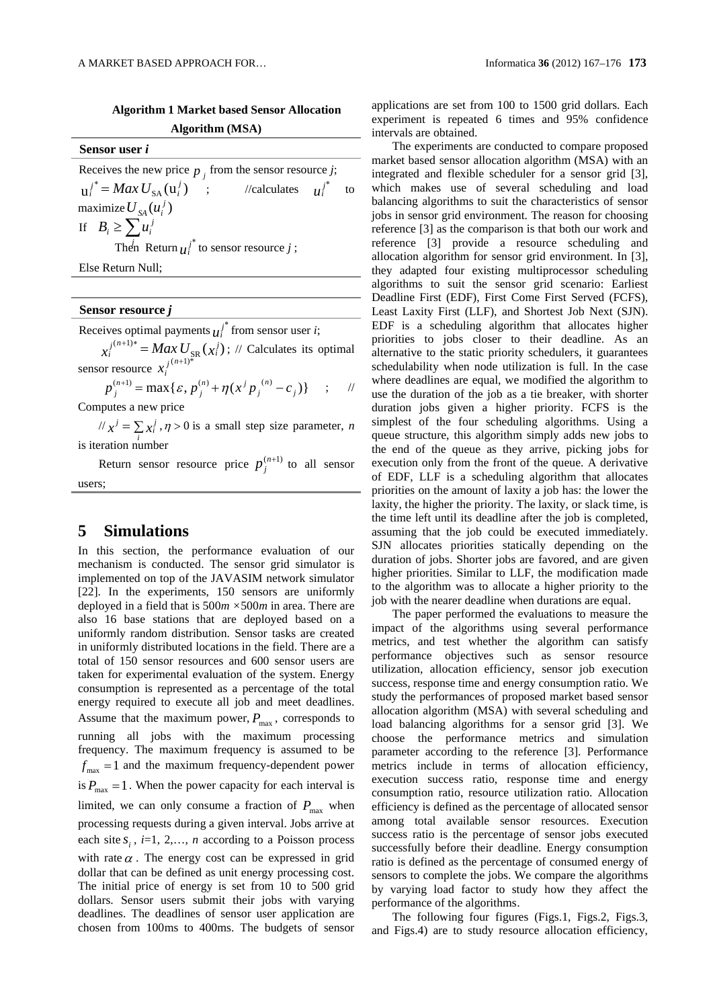**Algorithm 1 Market based Sensor Allocation Algorithm (MSA)**

| Sensor user i                                                 |  |
|---------------------------------------------------------------|--|
| Receives the new price $p_i$ from the sensor resource j;      |  |
| $u_i^{j^*} = Max U_{SA}(u_i^j)$ ; //calculates $u_i^{j^*}$ to |  |
| maximize $U_{SA}(u_i^j)$                                      |  |
| If $B_i \ge \sum u_i^j$                                       |  |
| Then Return $u^{j^*}$ to sensor resource j;                   |  |
| Else Return Null:                                             |  |

#### **Sensor resource** *j*

Receives optimal payments  $u_i^j$ from sensor user *i*;

 $x_i^{j^{(n+1)*}} = Max \, U_{SR}(x_i^j); \; \text{/\it/}$  Calculates its optimal sensor resource  $x_i^{j(n+1)^*}$ 

$$
p_j^{(n+1)} = \max\{\varepsilon, p_j^{(n)} + \eta(x^j p_j^{(n)} - c_j)\} \quad ; \quad \text{if}
$$
\n
$$
\text{mmutes a new price}
$$

Computes a new price

 $\frac{f}{f}$   $\chi^j = \sum x_i^j$ ,  $\eta > 0$  is a small step size parameter, *n i* is iteration number

Return sensor resource price  $p_j^{(n+1)}$  to all sensor users;

# **5 Simulations**

In this section, the performance evaluation of our mechanism is conducted. The sensor grid simulator is implemented on top of the JAVASIM network simulator [22]. In the experiments, 150 sensors are uniformly deployed in a field that is 500*m ×*500*m* in area. There are also 16 base stations that are deployed based on a uniformly random distribution. Sensor tasks are created in uniformly distributed locations in the field. There are a total of 150 sensor resources and 600 sensor users are taken for experimental evaluation of the system. Energy consumption is represented as a percentage of the total energy required to execute all job and meet deadlines. Assume that the maximum power,  $P_{\text{max}}$ , corresponds to running all jobs with the maximum processing frequency. The maximum frequency is assumed to be  $f_{\text{max}} = 1$  and the maximum frequency-dependent power is  $P_{\text{max}} = 1$ . When the power capacity for each interval is limited, we can only consume a fraction of  $P_{\text{max}}$  when processing requests during a given interval. Jobs arrive at each site  $s_i$ ,  $i=1, 2,..., n$  according to a Poisson process with rate  $\alpha$ . The energy cost can be expressed in grid dollar that can be defined as unit energy processing cost. The initial price of energy is set from 10 to 500 grid dollars. Sensor users submit their jobs with varying deadlines. The deadlines of sensor user application are chosen from 100ms to 400ms. The budgets of sensor applications are set from 100 to 1500 grid dollars. Each experiment is repeated 6 times and 95% confidence intervals are obtained.

The experiments are conducted to compare proposed market based sensor allocation algorithm (MSA) with an integrated and flexible scheduler for a sensor grid [3], which makes use of several scheduling and load balancing algorithms to suit the characteristics of sensor jobs in sensor grid environment. The reason for choosing reference [3] as the comparison is that both our work and reference [3] provide a resource scheduling and allocation algorithm for sensor grid environment. In [3], they adapted four existing multiprocessor scheduling algorithms to suit the sensor grid scenario: Earliest Deadline First (EDF), First Come First Served (FCFS), Least Laxity First (LLF), and Shortest Job Next (SJN). EDF is a scheduling algorithm that allocates higher priorities to jobs closer to their deadline. As an alternative to the static priority schedulers, it guarantees schedulability when node utilization is full. In the case where deadlines are equal, we modified the algorithm to use the duration of the job as a tie breaker, with shorter duration jobs given a higher priority. FCFS is the simplest of the four scheduling algorithms. Using a queue structure, this algorithm simply adds new jobs to the end of the queue as they arrive, picking jobs for execution only from the front of the queue. A derivative of EDF, LLF is a scheduling algorithm that allocates priorities on the amount of laxity a job has: the lower the laxity, the higher the priority. The laxity, or slack time, is the time left until its deadline after the job is completed, assuming that the job could be executed immediately. SJN allocates priorities statically depending on the duration of jobs. Shorter jobs are favored, and are given higher priorities. Similar to LLF, the modification made to the algorithm was to allocate a higher priority to the job with the nearer deadline when durations are equal.

The paper performed the evaluations to measure the impact of the algorithms using several performance metrics, and test whether the algorithm can satisfy performance objectives such as sensor resource utilization, allocation efficiency, sensor job execution success, response time and energy consumption ratio. We study the performances of proposed market based sensor allocation algorithm (MSA) with several scheduling and load balancing algorithms for a sensor grid [3]. We choose the performance metrics and simulation parameter according to the reference [3]. Performance metrics include in terms of allocation efficiency, execution success ratio, response time and energy consumption ratio, resource utilization ratio. Allocation efficiency is defined as the percentage of allocated sensor among total available sensor resources. Execution success ratio is the percentage of sensor jobs executed successfully before their deadline. Energy consumption ratio is defined as the percentage of consumed energy of sensors to complete the jobs. We compare the algorithms by varying load factor to study how they affect the performance of the algorithms.

The following four figures (Figs.1, Figs.2, Figs.3, and Figs.4) are to study resource allocation efficiency,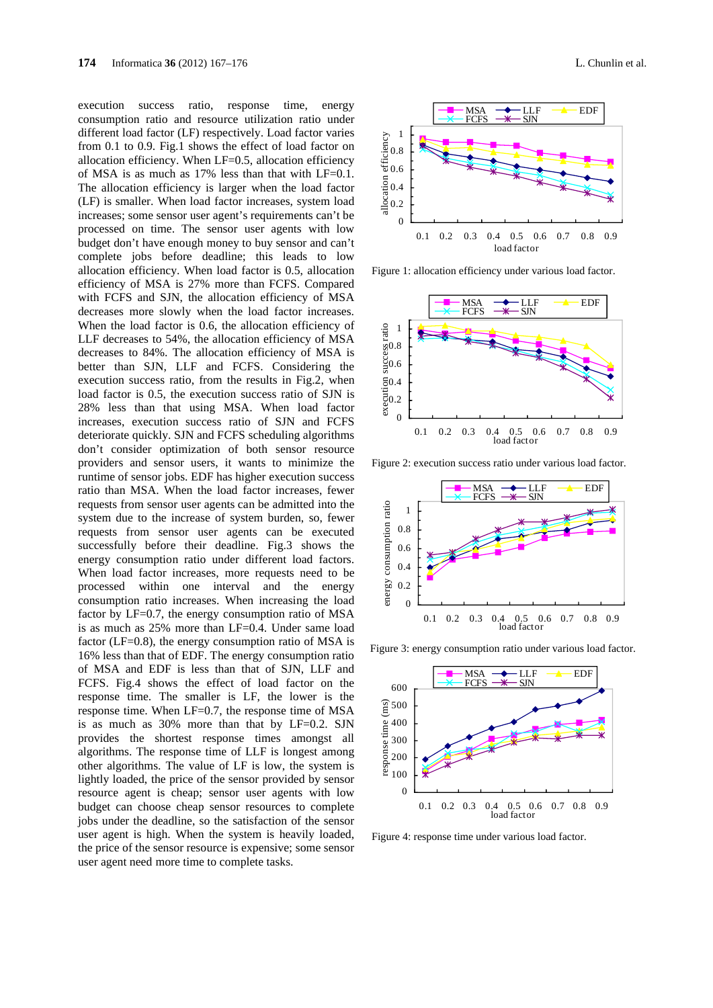execution success ratio, response time, energy consumption ratio and resource utilization ratio under different load factor (LF) respectively. Load factor varies from 0.1 to 0.9. Fig.1 shows the effect of load factor on allocation efficiency. When LF=0.5, allocation efficiency of MSA is as much as 17% less than that with LF=0.1. The allocation efficiency is larger when the load factor (LF) is smaller. When load factor increases, system load increases; some sensor user agent's requirements can't be processed on time. The sensor user agents with low budget don't have enough money to buy sensor and can't complete jobs before deadline; this leads to low allocation efficiency. When load factor is 0.5, allocation efficiency of MSA is 27% more than FCFS. Compared with FCFS and SJN, the allocation efficiency of MSA decreases more slowly when the load factor increases. When the load factor is 0.6, the allocation efficiency of LLF decreases to 54%, the allocation efficiency of MSA decreases to 84%. The allocation efficiency of MSA is better than SJN, LLF and FCFS. Considering the execution success ratio, from the results in Fig.2, when load factor is 0.5, the execution success ratio of SJN is 28% less than that using MSA. When load factor increases, execution success ratio of SJN and FCFS deteriorate quickly. SJN and FCFS scheduling algorithms don't consider optimization of both sensor resource providers and sensor users, it wants to minimize the runtime of sensor jobs. EDF has higher execution success ratio than MSA. When the load factor increases, fewer requests from sensor user agents can be admitted into the system due to the increase of system burden, so, fewer requests from sensor user agents can be executed successfully before their deadline. Fig.3 shows the energy consumption ratio under different load factors. When load factor increases, more requests need to be processed within one interval and the energy consumption ratio increases. When increasing the load factor by LF=0.7, the energy consumption ratio of MSA is as much as 25% more than LF=0.4. Under same load factor (LF=0.8), the energy consumption ratio of MSA is 16% less than that of EDF. The energy consumption ratio of MSA and EDF is less than that of SJN, LLF and FCFS. Fig.4 shows the effect of load factor on the response time. The smaller is LF, the lower is the response time. When LF=0.7, the response time of MSA is as much as 30% more than that by LF=0.2. SJN provides the shortest response times amongst all algorithms. The response time of LLF is longest among other algorithms. The value of LF is low, the system is lightly loaded, the price of the sensor provided by sensor resource agent is cheap; sensor user agents with low budget can choose cheap sensor resources to complete jobs under the deadline, so the satisfaction of the sensor user agent is high. When the system is heavily loaded, the price of the sensor resource is expensive; some sensor user agent need more time to complete tasks.



Figure 1: allocation efficiency under various load factor.



Figure 2: execution success ratio under various load factor.



Figure 3: energy consumption ratio under various load factor.



Figure 4: response time under various load factor.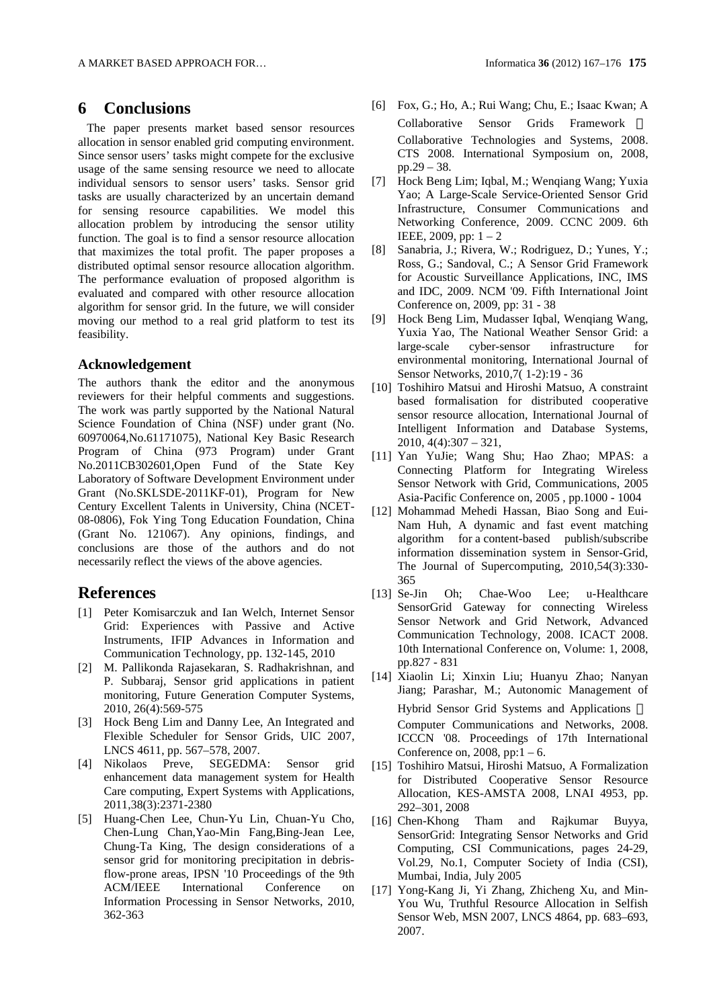# **6 Conclusions**

 The paper presents market based sensor resources allocation in sensor enabled grid computing environment. Since sensor users' tasks might compete for the exclusive usage of the same sensing resource we need to allocate individual sensors to sensor users' tasks. Sensor grid tasks are usually characterized by an uncertain demand for sensing resource capabilities. We model this allocation problem by introducing the sensor utility function. The goal is to find a sensor resource allocation that maximizes the total profit. The paper proposes a distributed optimal sensor resource allocation algorithm. The performance evaluation of proposed algorithm is evaluated and compared with other resource allocation algorithm for sensor grid. In the future, we will consider moving our method to a real grid platform to test its feasibility.

### **Acknowledgement**

The authors thank the editor and the anonymous reviewers for their helpful comments and suggestions. The work was partly supported by the National Natural Science Foundation of China (NSF) under grant (No. 60970064,No.61171075), National Key Basic Research Program of China (973 Program) under Grant No.2011CB302601,Open Fund of the State Key Laboratory of Software Development Environment under Grant (No.SKLSDE-2011KF-01), Program for New Century Excellent Talents in University, China (NCET-08-0806), Fok Ying Tong Education Foundation, China (Grant No. 121067). Any opinions, findings, and conclusions are those of the authors and do not necessarily reflect the views of the above agencies.

# **References**

- [1] Peter Komisarczuk and Ian Welch, Internet Sensor Grid: Experiences with Passive and Active Instruments, IFIP Advances in Information and Communication Technology, pp. 132-145, 2010
- [2] M. Pallikonda Rajasekaran, S. Radhakrishnan, and P. Subbaraj, Sensor grid applications in patient monitoring, Future Generation Computer Systems, 2010, 26(4):569-575
- [3] Hock Beng Lim and Danny Lee, An Integrated and Flexible Scheduler for Sensor Grids, UIC 2007, LNCS 4611, pp. 567–578, 2007.
- [4] Nikolaos Preve, SEGEDMA: Sensor grid enhancement data management system for Health Care computing, Expert Systems with Applications, 2011,38(3):2371-2380
- [5] Huang-Chen Lee, Chun-Yu Lin, Chuan-Yu Cho, Chen-Lung Chan,Yao-Min Fang,Bing-Jean Lee, Chung-Ta King, The design considerations of a sensor grid for monitoring precipitation in debrisflow-prone areas, IPSN '10 Proceedings of the 9th ACM/IEEE International Conference on Information Processing in Sensor Networks, 2010, 362-363
- [6] Fox, G.; Ho, A.; Rui Wang; Chu, E.; Isaac Kwan; A Collaborative Sensor Grids Framework Collaborative Technologies and Systems, 2008. CTS 2008. International Symposium on, 2008, pp.29 – 38.
- [7] Hock Beng Lim; Iqbal, M.; Wenqiang Wang; Yuxia Yao; A Large-Scale Service-Oriented Sensor Grid Infrastructure, Consumer Communications and Networking Conference, 2009. CCNC 2009. 6th IEEE, 2009, pp:  $1 - 2$
- [8] Sanabria, J.; Rivera, W.; Rodriguez, D.; Yunes, Y.; Ross, G.; Sandoval, C.; A Sensor Grid Framework for Acoustic Surveillance Applications, INC, IMS and IDC, 2009. NCM '09. Fifth International Joint Conference on, 2009, pp: 31 - 38
- [9] Hock Beng Lim, Mudasser Iqbal, Wenqiang Wang, Yuxia Yao, The National Weather Sensor Grid: a large-scale cyber-sensor infrastructure for environmental monitoring, International Journal of Sensor Networks, 2010,7( 1-2):19 - 36
- [10] Toshihiro Matsui and Hiroshi Matsuo, A constraint based formalisation for distributed cooperative sensor resource allocation, International Journal of Intelligent Information and Database Systems,  $2010, 4(4):307 - 321,$
- [11] Yan YuJie; Wang Shu; Hao Zhao; MPAS: a Connecting Platform for Integrating Wireless Sensor Network with Grid, Communications, 2005 Asia-Pacific Conference on, 2005 , pp.1000 - 1004
- [12] Mohammad Mehedi Hassan, Biao Song and Eui-Nam Huh, A dynamic and fast event matching algorithm for a content-based publish/subscribe information dissemination system in Sensor-Grid, The Journal of Supercomputing, 2010,54(3):330- 365
- [13] Se-Jin Oh; Chae-Woo Lee; u-Healthcare SensorGrid Gateway for connecting Wireless Sensor Network and Grid Network, Advanced Communication Technology, 2008. ICACT 2008. 10th International Conference on, Volume: 1, 2008, pp.827 - 831
- [14] Xiaolin Li; Xinxin Liu; Huanyu Zhao; Nanyan Jiang; Parashar, M.; Autonomic Management of

Hybrid Sensor Grid Systems and Applications Computer Communications and Networks, 2008. ICCCN '08. Proceedings of 17th International Conference on,  $2008$ , pp: $1 - 6$ .

- [15] Toshihiro Matsui, Hiroshi Matsuo, A Formalization for Distributed Cooperative Sensor Resource Allocation, KES-AMSTA 2008, LNAI 4953, pp. 292–301, 2008
- [16] Chen-Khong Tham and Rajkumar Buyya, SensorGrid: Integrating Sensor Networks and Grid Computing, CSI Communications, pages 24-29, Vol.29, No.1, Computer Society of India (CSI), Mumbai, India, July 2005
- [17] Yong-Kang Ji, Yi Zhang, Zhicheng Xu, and Min-You Wu, Truthful Resource Allocation in Selfish Sensor Web, MSN 2007, LNCS 4864, pp. 683–693, 2007.